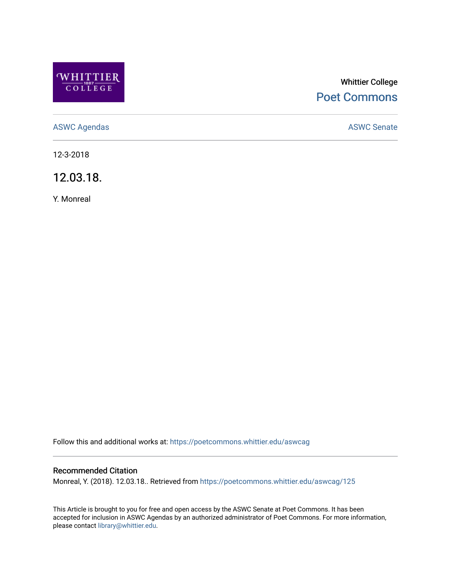

# Whittier College [Poet Commons](https://poetcommons.whittier.edu/)

[ASWC Agendas](https://poetcommons.whittier.edu/aswcag) **ASWC Senate** 

12-3-2018

12.03.18.

Y. Monreal

Follow this and additional works at: [https://poetcommons.whittier.edu/aswcag](https://poetcommons.whittier.edu/aswcag?utm_source=poetcommons.whittier.edu%2Faswcag%2F125&utm_medium=PDF&utm_campaign=PDFCoverPages) 

# Recommended Citation

Monreal, Y. (2018). 12.03.18.. Retrieved from [https://poetcommons.whittier.edu/aswcag/125](https://poetcommons.whittier.edu/aswcag/125?utm_source=poetcommons.whittier.edu%2Faswcag%2F125&utm_medium=PDF&utm_campaign=PDFCoverPages) 

This Article is brought to you for free and open access by the ASWC Senate at Poet Commons. It has been accepted for inclusion in ASWC Agendas by an authorized administrator of Poet Commons. For more information, please contact [library@whittier.edu](mailto:library@whittier.edu).